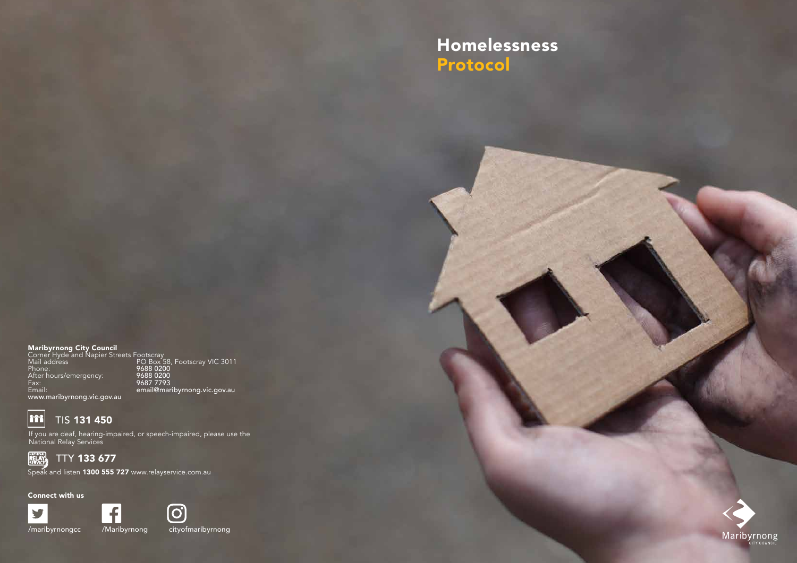#### Maribyrnong City Council

Corner Hyde and Napier Streets Footscray Mail address PO Box 58, Footscray VIC 3011 Phone: 9688 0200 After hours/emergency: 9688 0200 Fax: 9687 7793 Email: email@maribyrnong.vic.gov.au www.maribyrnong.vic.gov.au



### TIS 131 450

If you are deaf, hearing-impaired, or speech-impaired, please use the National Relay Services



TTY 133 677

Speak and listen 1300 555 727 www.relayservice.com.au

Connect with us







## Homelessness Protocol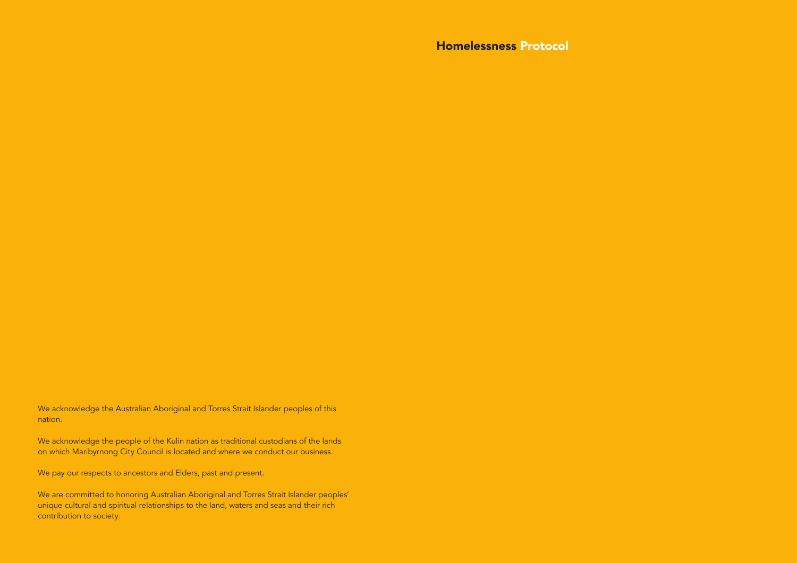We acknowledge the Australian Aboriginal and Torres Strait Islander peoples of this nation.

We acknowledge the people of the Kulin nation as traditional custodians of the lands on which Maribyrnong City Council is located and where we conduct our business.

We pay our respects to ancestors and Elders, past and present.

We are committed to honoring Australian Aboriginal and Torres Strait Islander peoples' unique cultural and spiritual relationships to the land, waters and seas and their rich contribution to society.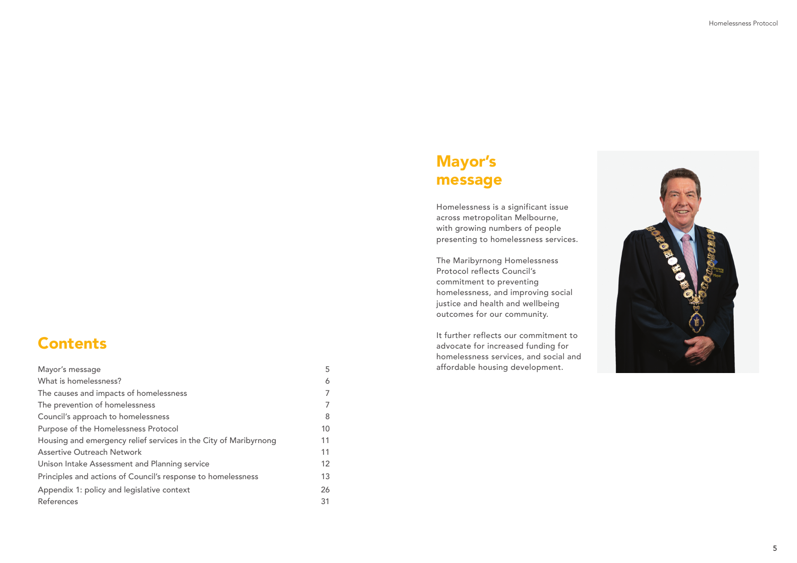

### Contents

| Mayor's message                                                  | 5  |
|------------------------------------------------------------------|----|
| What is homelessness?                                            | 6  |
| The causes and impacts of homelessness                           |    |
| The prevention of homelessness                                   |    |
| Council's approach to homelessness                               | 8  |
| Purpose of the Homelessness Protocol                             | 10 |
| Housing and emergency relief services in the City of Maribyrnong | 11 |
| <b>Assertive Outreach Network</b>                                | 11 |
| Unison Intake Assessment and Planning service                    | 12 |
| Principles and actions of Council's response to homelessness     | 13 |
| Appendix 1: policy and legislative context                       | 26 |
| References                                                       | 31 |

## Mayor's message

Homelessness is a significant issue across metropolitan Melbourne, with growing numbers of people presenting to homelessness services.

The Maribyrnong Homelessness Protocol reflects Council's commitment to preventing homelessness, and improving social justice and health and wellbeing outcomes for our community.

It further reflects our commitment to advocate for increased funding for homelessness services, and social and affordable housing development.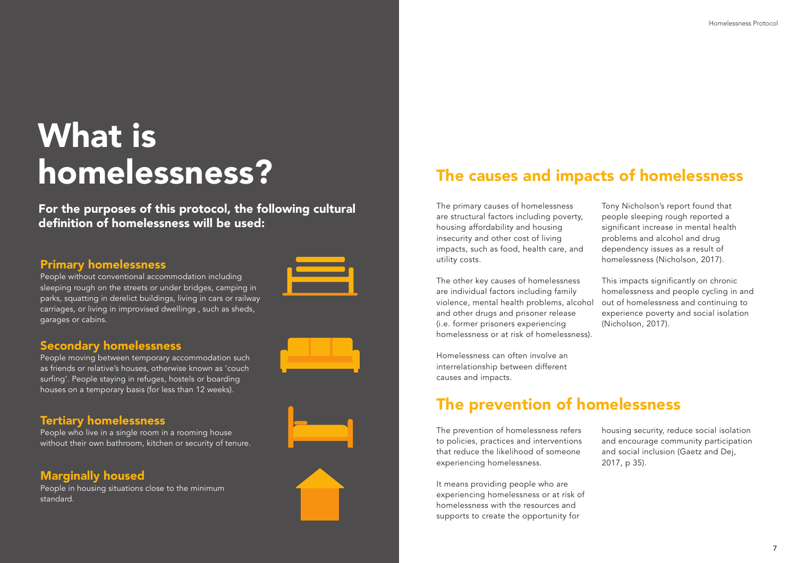# What is homelessness?

For the purposes of this protocol, the following cultural definition of homelessness will be used:

### Primary homelessness

People without conventional accommodation including sleeping rough on the streets or under bridges, camping in parks, squatting in derelict buildings, living in cars or railway carriages, or living in improvised dwellings , such as sheds, garages or cabins.

### Marginally housed

People in housing situations close to the minimum standard.







### Tertiary homelessness

People who live in a single room in a rooming house without their own bathroom, kitchen or security of tenure.

### Secondary homelessness

People moving between temporary accommodation such as friends or relative's houses, otherwise known as 'couch surfing'. People staying in refuges, hostels or boarding houses on a temporary basis (for less than 12 weeks).

The primary causes of homelessness are structural factors including poverty, housing affordability and housing insecurity and other cost of living impacts, such as food, health care, and utility costs.

Homelessness can often involve an interrelationship between different causes and impacts.

The other key causes of homelessness are individual factors including family violence, mental health problems, alcohol and other drugs and prisoner release (i.e. former prisoners experiencing homelessness or at risk of homelessness). This impacts significantly on chronic homelessness and people cycling in and out of homelessness and continuing to experience poverty and social isolation (Nicholson, 2017).

Tony Nicholson's report found that people sleeping rough reported a significant increase in mental health problems and alcohol and drug dependency issues as a result of homelessness (Nicholson, 2017).

## The causes and impacts of homelessness

## The prevention of homelessness

The prevention of homelessness refers to policies, practices and interventions that reduce the likelihood of someone experiencing homelessness.

It means providing people who are experiencing homelessness or at risk of homelessness with the resources and supports to create the opportunity for

housing security, reduce social isolation and encourage community participation and social inclusion (Gaetz and Dej, 2017, p 35).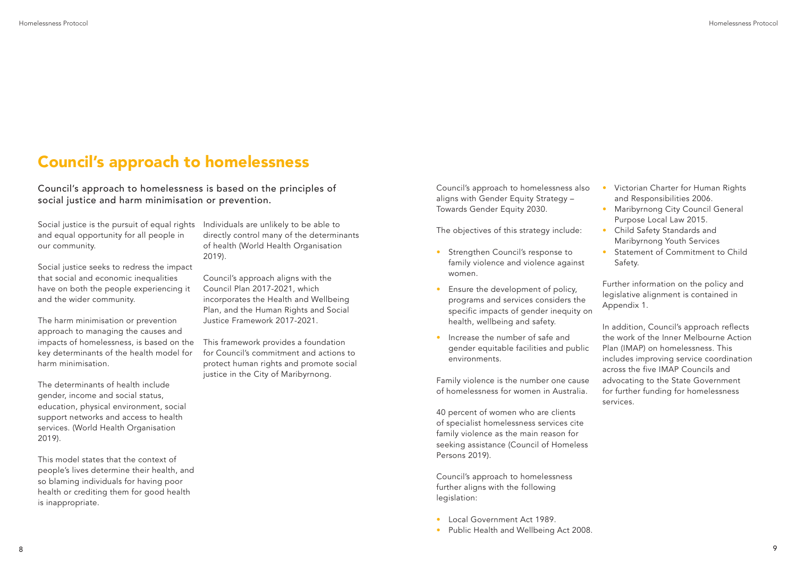Social justice is the pursuit of equal rights and equal opportunity for all people in our community.

Social justice seeks to redress the impact that social and economic inequalities have on both the people experiencing it and the wider community.

The harm minimisation or prevention approach to managing the causes and impacts of homelessness, is based on the key determinants of the health model for harm minimisation.

The determinants of health include gender, income and social status, education, physical environment, social support networks and access to health services. (World Health Organisation 2019).

This framework provides a foundation for Council's commitment and actions to protect human rights and promote social justice in the City of Maribyrnong.

This model states that the context of people's lives determine their health, and so blaming individuals for having poor health or crediting them for good health is inappropriate.

Individuals are unlikely to be able to directly control many of the determinants of health (World Health Organisation 2019).

- Strengthen Council's response to family violence and violence against women.
- Ensure the development of policy, programs and services considers the specific impacts of gender inequity on health, wellbeing and safety.
- Increase the number of safe and gender equitable facilities and public environments.

Council's approach aligns with the Council Plan 2017-2021, which incorporates the Health and Wellbeing Plan, and the Human Rights and Social Justice Framework 2017-2021.

- Victorian Charter for Human Rights and Responsibilities 2006.
- Maribyrnong City Council General Purpose Local Law 2015.
- Child Safety Standards and Maribyrnong Youth Services
- Statement of Commitment to Child Safety.

Council's approach to homelessness is based on the principles of social justice and harm minimisation or prevention.

Council's approach to homelessness also aligns with Gender Equity Strategy – Towards Gender Equity 2030.

The objectives of this strategy include:

Family violence is the number one cause of homelessness for women in Australia.

40 percent of women who are clients of specialist homelessness services cite family violence as the main reason for seeking assistance (Council of Homeless Persons 2019).

Council's approach to homelessness further aligns with the following legislation:

- Local Government Act 1989.
- Public Health and Wellbeing Act 2008.

Further information on the policy and legislative alignment is contained in Appendix 1.

In addition, Council's approach reflects the work of the Inner Melbourne Action Plan (IMAP) on homelessness. This includes improving service coordination across the five IMAP Councils and advocating to the State Government for further funding for homelessness services.

## Council's approach to homelessness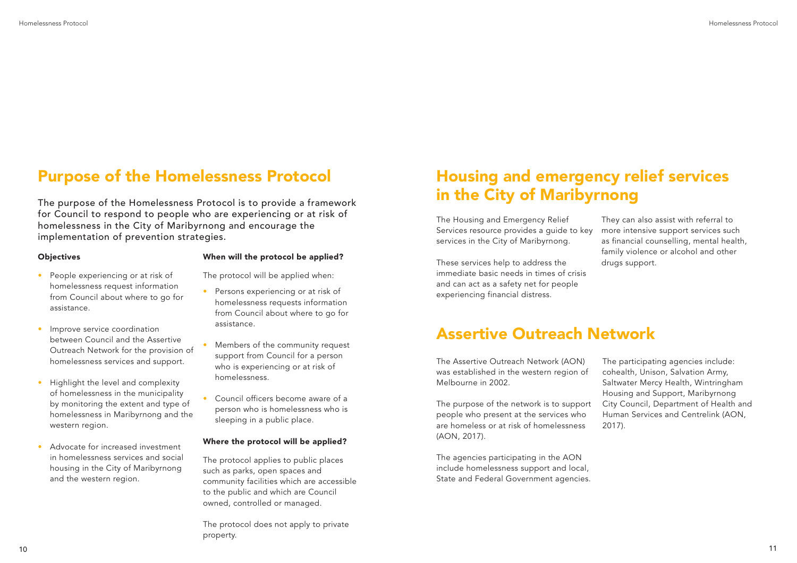- People experiencing or at risk of homelessness request information from Council about where to go for assistance.
- Improve service coordination between Council and the Assertive Outreach Network for the provision of homelessness services and support.
- Highlight the level and complexity of homelessness in the municipality by monitoring the extent and type of homelessness in Maribyrnong and the western region.
- Advocate for increased investment in homelessness services and social housing in the City of Maribyrnong and the western region.
- Persons experiencing or at risk of homelessness requests information from Council about where to go for assistance.
- Members of the community request support from Council for a person who is experiencing or at risk of homelessness.
- Council officers become aware of a person who is homelessness who is sleeping in a public place.

#### When will the protocol be applied?

The protocol will be applied when:

#### Where the protocol will be applied?

The protocol applies to public places such as parks, open spaces and community facilities which are accessible to the public and which are Council owned, controlled or managed.

The protocol does not apply to private property.

The purpose of the Homelessness Protocol is to provide a framework for Council to respond to people who are experiencing or at risk of homelessness in the City of Maribyrnong and encourage the implementation of prevention strategies.

### **Objectives**

## Purpose of the Homelessness Protocol

The Housing and Emergency Relief Services resource provides a quide to key services in the City of Maribyrnong.

These services help to address the immediate basic needs in times of crisis and can act as a safety net for people experiencing financial distress.

They can also assist with referral to more intensive support services such as financial counselling, mental health, family violence or alcohol and other drugs support.

## Housing and emergency relief services in the City of Maribyrnong

The Assertive Outreach Network (AON) was established in the western region of Melbourne in 2002.

The purpose of the network is to support people who present at the services who are homeless or at risk of homelessness (AON, 2017).

The agencies participating in the AON include homelessness support and local, State and Federal Government agencies. The participating agencies include: cohealth, Unison, Salvation Army, Saltwater Mercy Health, Wintringham Housing and Support, Maribyrnong City Council, Department of Health and Human Services and Centrelink (AON, 2017).

### Assertive Outreach Network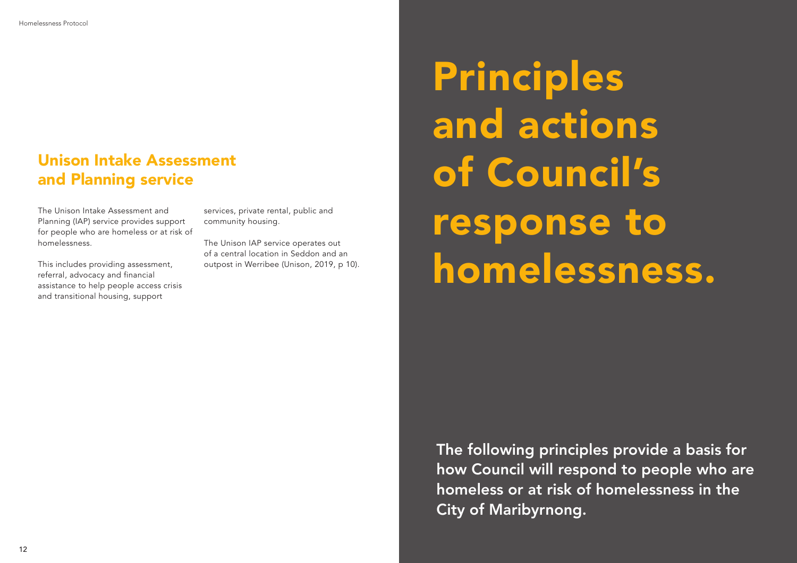The Unison Intake Assessment and Planning (IAP) service provides support for people who are homeless or at risk of homelessness.

This includes providing assessment, referral, advocacy and financial assistance to help people access crisis and transitional housing, support

services, private rental, public and community housing.

The Unison IAP service operates out of a central location in Seddon and an outpost in Werribee (Unison, 2019, p 10).

## Unison Intake Assessment and Planning service

The following principles provide a basis for how Council will respond to people who are homeless or at risk of homelessness in the City of Maribyrnong.

Principles and actions of Council's response to homelessness.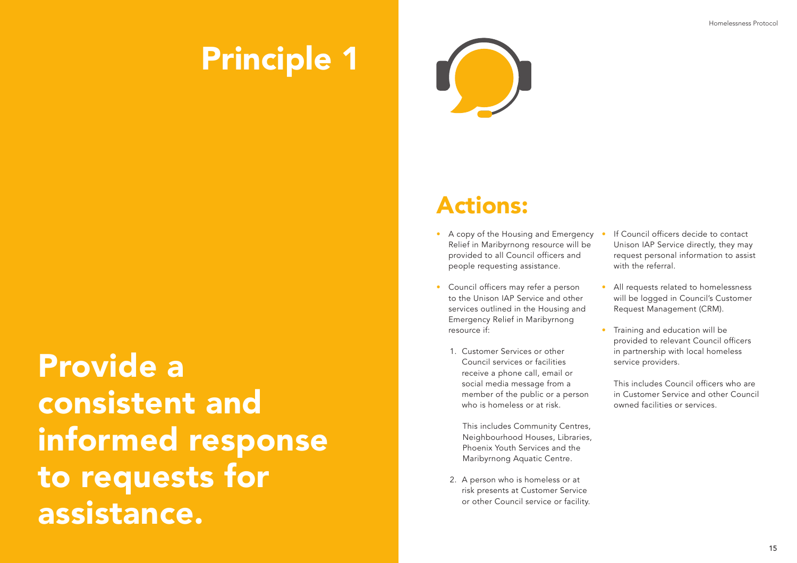- A copy of the Housing and Emergency Relief in Maribyrnong resource will be provided to all Council officers and people requesting assistance.
- Council officers may refer a person to the Unison IAP Service and other services outlined in the Housing and Emergency Relief in Maribyrnong resource if:
	- 1. Customer Services or other Council services or facilities receive a phone call, email or social media message from a member of the public or a person who is homeless or at risk.
		- This includes Community Centres, Neighbourhood Houses, Libraries, Phoenix Youth Services and the Maribyrnong Aquatic Centre.
	- 2. A person who is homeless or at risk presents at Customer Service or other Council service or facility.
- If Council officers decide to contact Unison IAP Service directly, they may request personal information to assist with the referral.
- All requests related to homelessness will be logged in Council's Customer Request Management (CRM).
- Training and education will be provided to relevant Council officers in partnership with local homeless service providers.

This includes Council officers who are in Customer Service and other Council owned facilities or services.

# Principle 1

Provide a consistent and informed response to requests for assistance.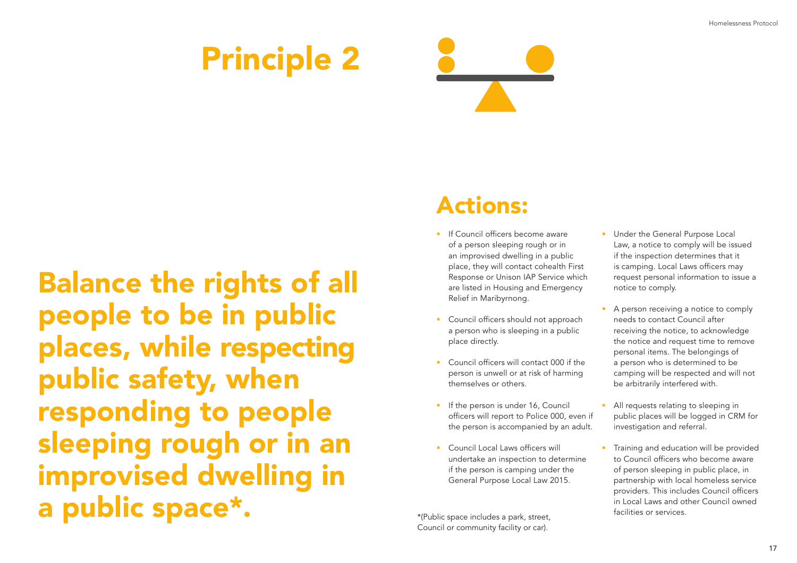

# Balance the rights of all people to be in public places, while respecting public safety, when responding to people sleeping rough or in an improvised dwelling in a public space\*. \*(Public space includes a park, street,

Council or community facility or car).

- If Council officers become aware of a person sleeping rough or in an improvised dwelling in a public place, they will contact cohealth First Response or Unison IAP Service which are listed in Housing and Emergency Relief in Maribyrnong.
- Council officers should not approach a person who is sleeping in a public place directly.
- Council officers will contact 000 if the person is unwell or at risk of harming themselves or others.
- If the person is under 16, Council officers will report to Police 000, even if the person is accompanied by an adult.
- Council Local Laws officers will undertake an inspection to determine if the person is camping under the General Purpose Local Law 2015.
- Under the General Purpose Local Law, a notice to comply will be issued if the inspection determines that it is camping. Local Laws officers may request personal information to issue a notice to comply.
- A person receiving a notice to comply needs to contact Council after receiving the notice, to acknowledge the notice and request time to remove personal items. The belongings of a person who is determined to be camping will be respected and will not be arbitrarily interfered with.
- All requests relating to sleeping in public places will be logged in CRM for investigation and referral.
- Training and education will be provided to Council officers who become aware of person sleeping in public place, in partnership with local homeless service providers. This includes Council officers in Local Laws and other Council owned facilities or services.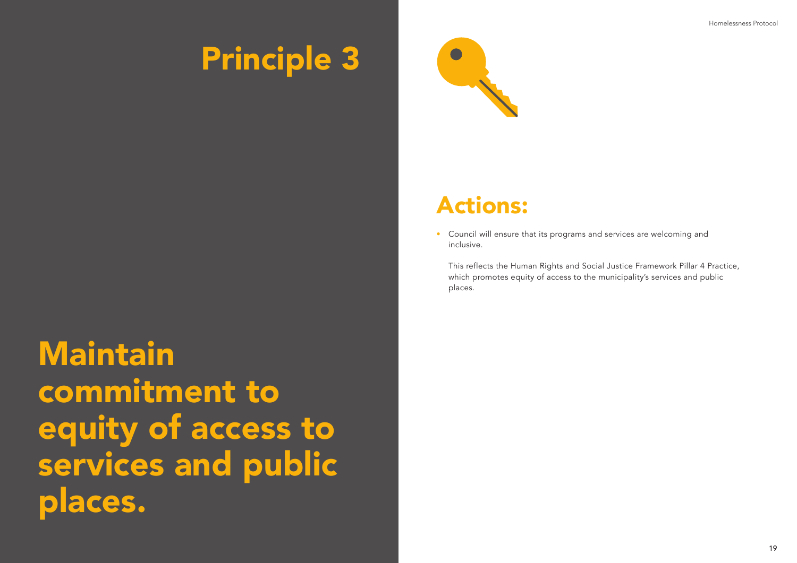Maintain commitment to equity of access to services and public places.



• Council will ensure that its programs and services are welcoming and inclusive.

This reflects the Human Rights and Social Justice Framework Pillar 4 Practice, which promotes equity of access to the municipality's services and public places.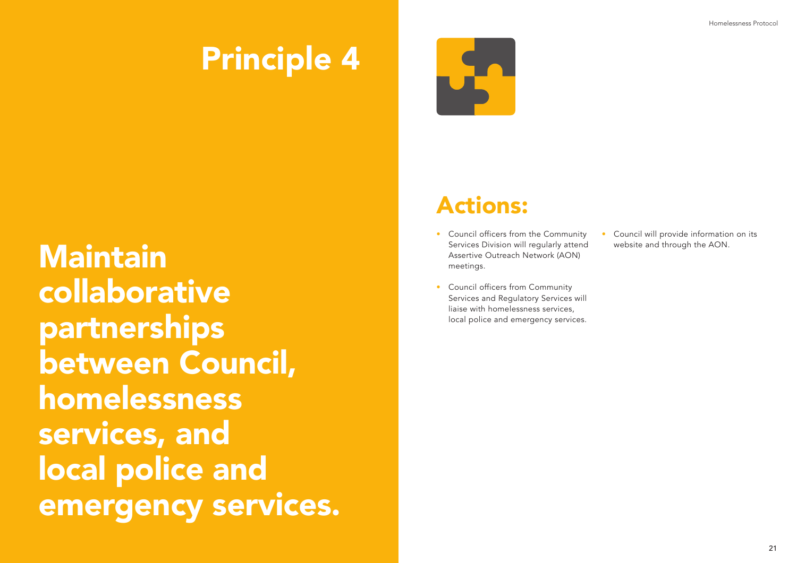Maintain collaborative partnerships between Council, homelessness services, and local police and emergency services.

- Council officers from the Community Services Division will regularly attend Assertive Outreach Network (AON) meetings.
- Council officers from Community Services and Regulatory Services will liaise with homelessness services, local police and emergency services.

• Council will provide information on its website and through the AON.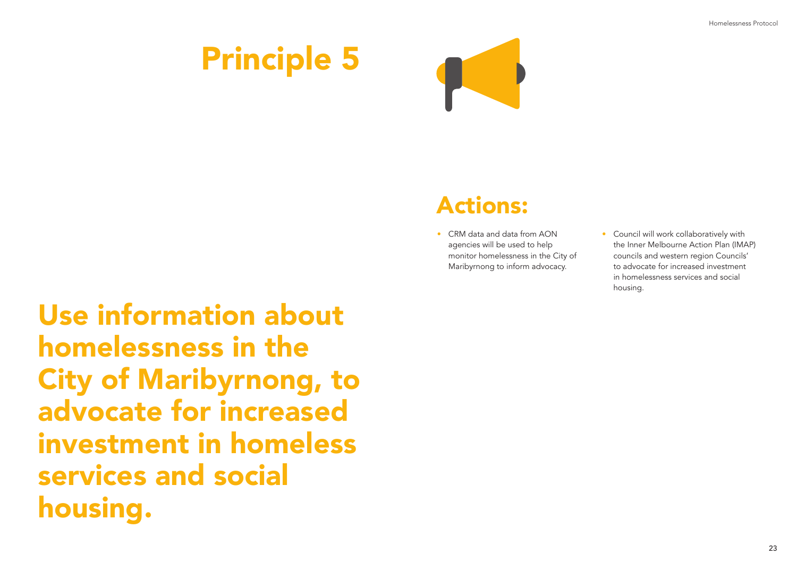

Use information about homelessness in the City of Maribyrnong, to advocate for increased investment in homeless services and social housing.

• CRM data and data from AON agencies will be used to help monitor homelessness in the City of Maribyrnong to inform advocacy.

• Council will work collaboratively with the Inner Melbourne Action Plan (IMAP) councils and western region Councils' to advocate for increased investment in homelessness services and social housing.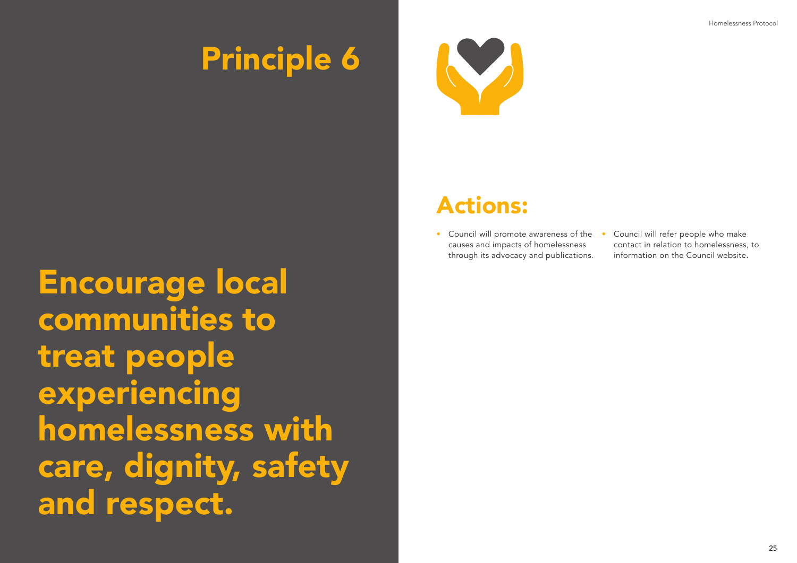Encourage local communities to treat people experiencing homelessness with care, dignity, safety and respect.



• Council will promote awareness of the • causes and impacts of homelessness through its advocacy and publications.

• Council will refer people who make contact in relation to homelessness, to information on the Council website.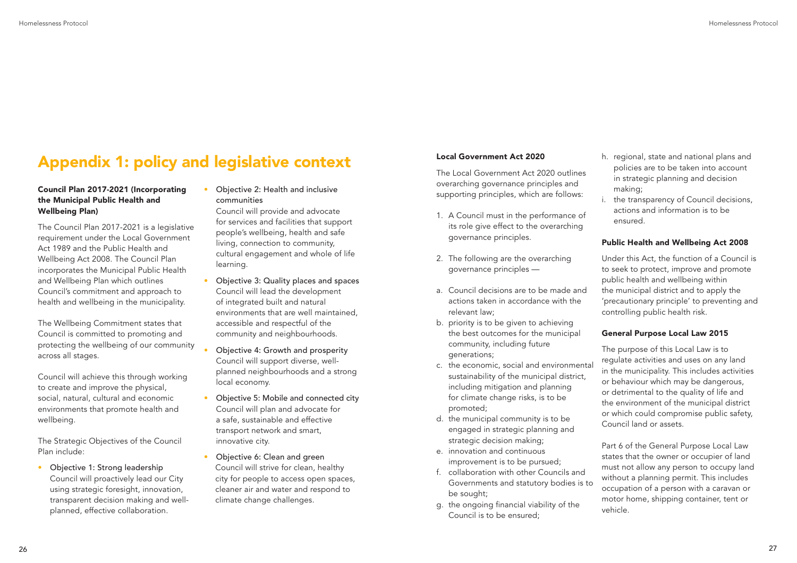## Appendix 1: policy and legislative context Local Government Act 2020

### Council Plan 2017-2021 (Incorporating the Municipal Public Health and Wellbeing Plan)

The Council Plan 2017-2021 is a legislative requirement under the Local Government Act 1989 and the Public Health and Wellbeing Act 2008. The Council Plan incorporates the Municipal Public Health and Wellbeing Plan which outlines Council's commitment and approach to health and wellbeing in the municipality.

The Wellbeing Commitment states that Council is committed to promoting and protecting the wellbeing of our community across all stages.

Council will achieve this through working to create and improve the physical, social, natural, cultural and economic environments that promote health and wellbeing.

The Strategic Objectives of the Council Plan include:

• Objective 1: Strong leadership Council will proactively lead our City using strategic foresight, innovation, transparent decision making and wellplanned, effective collaboration.

### • Objective 2: Health and inclusive communities

Council will provide and advocate for services and facilities that support people's wellbeing, health and safe living, connection to community, cultural engagement and whole of life learning.

- Objective 3: Quality places and spaces Council will lead the development of integrated built and natural environments that are well maintained, accessible and respectful of the community and neighbourhoods.
- Objective 4: Growth and prosperity Council will support diverse, wellplanned neighbourhoods and a strong local economy.
- Objective 5: Mobile and connected city Council will plan and advocate for a safe, sustainable and effective transport network and smart, innovative city.
- Objective 6: Clean and green Council will strive for clean, healthy city for people to access open spaces, cleaner air and water and respond to climate change challenges.

The Local Government Act 2020 outlines overarching governance principles and supporting principles, which are follows:

- 1. A Council must in the performance of its role give effect to the overarching governance principles.
- 2. The following are the overarching governance principles —
- a. Council decisions are to be made and actions taken in accordance with the relevant law;
- b. priority is to be given to achieving the best outcomes for the municipal community, including future generations;
- c. the economic, social and environmental sustainability of the municipal district, including mitigation and planning for climate change risks, is to be promoted;
- d. the municipal community is to be engaged in strategic planning and strategic decision making;
- e. innovation and continuous improvement is to be pursued;
- f. collaboration with other Councils and Governments and statutory bodies is to be sought;
- g. the ongoing financial viability of the Council is to be ensured;
- h. regional, state and national plans and policies are to be taken into account in strategic planning and decision making;
- i. the transparency of Council decisions, actions and information is to be ensured.

### Public Health and Wellbeing Act 2008

Under this Act, the function of a Council is to seek to protect, improve and promote public health and wellbeing within the municipal district and to apply the 'precautionary principle' to preventing and controlling public health risk.

### General Purpose Local Law 2015

The purpose of this Local Law is to regulate activities and uses on any land in the municipality. This includes activities or behaviour which may be dangerous, or detrimental to the quality of life and the environment of the municipal district or which could compromise public safety, Council land or assets.

Part 6 of the General Purpose Local Law states that the owner or occupier of land must not allow any person to occupy land without a planning permit. This includes occupation of a person with a caravan or motor home, shipping container, tent or vehicle.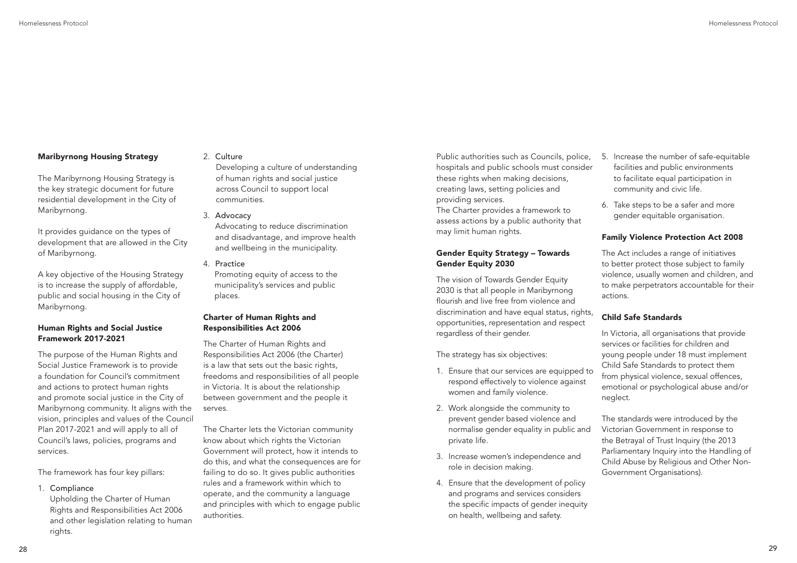### Maribyrnong Housing Strategy

The Maribyrnong Housing Strategy is the key strategic document for future residential development in the City of Maribyrnong.

It provides guidance on the types of development that are allowed in the City of Maribyrnong.

A key objective of the Housing Strategy is to increase the supply of affordable, public and social housing in the City of Maribyrnong.

Upholding the Charter of Human Rights and Responsibilities Act 2006 and other legislation relating to human rights.

### Human Rights and Social Justice Framework 2017-2021

The purpose of the Human Rights and Social Justice Framework is to provide a foundation for Council's commitment and actions to protect human rights and promote social justice in the City of Maribyrnong community. It aligns with the vision, principles and values of the Council Plan 2017-2021 and will apply to all of Council's laws, policies, programs and services.

The framework has four key pillars:

1. Compliance

### 2. Culture

Developing a culture of understanding of human rights and social justice across Council to support local communities.

#### 3. Advocacy

Advocating to reduce discrimination and disadvantage, and improve health and wellbeing in the municipality.

4. Practice

Promoting equity of access to the municipality's services and public places.

### Charter of Human Rights and Responsibilities Act 2006

The Charter of Human Rights and Responsibilities Act 2006 (the Charter) is a law that sets out the basic rights, freedoms and responsibilities of all people in Victoria. It is about the relationship between government and the people it serves.

The Charter lets the Victorian community know about which rights the Victorian Government will protect, how it intends to do this, and what the consequences are for failing to do so. It gives public authorities rules and a framework within which to operate, and the community a language and principles with which to engage public authorities.

Public authorities such as Councils, police, hospitals and public schools must consider these rights when making decisions, creating laws, setting policies and providing services.

The Charter provides a framework to assess actions by a public authority that may limit human rights.

### Gender Equity Strategy – Towards Gender Equity 2030

The vision of Towards Gender Equity 2030 is that all people in Maribyrnong flourish and live free from violence and discrimination and have equal status, rights, opportunities, representation and respect regardless of their gender.

The strategy has six objectives:

- 1. Ensure that our services are equipped to respond effectively to violence against women and family violence.
- 2. Work alongside the community to prevent gender based violence and normalise gender equality in public and private life.
- 3. Increase women's independence and role in decision making.
- 4. Ensure that the development of policy and programs and services considers the specific impacts of gender inequity on health, wellbeing and safety.
- 5. Increase the number of safe-equitable facilities and public environments to facilitate equal participation in community and civic life.
- 6. Take steps to be a safer and more gender equitable organisation.

### Family Violence Protection Act 2008

The Act includes a range of initiatives to better protect those subject to family violence, usually women and children, and to make perpetrators accountable for their actions.

### Child Safe Standards

In Victoria, all organisations that provide services or facilities for children and young people under 18 must implement Child Safe Standards to protect them from physical violence, sexual offences, emotional or psychological abuse and/or neglect.

The standards were introduced by the Victorian Government in response to the Betrayal of Trust Inquiry (the 2013 Parliamentary Inquiry into the Handling of Child Abuse by Religious and Other Non-Government Organisations).